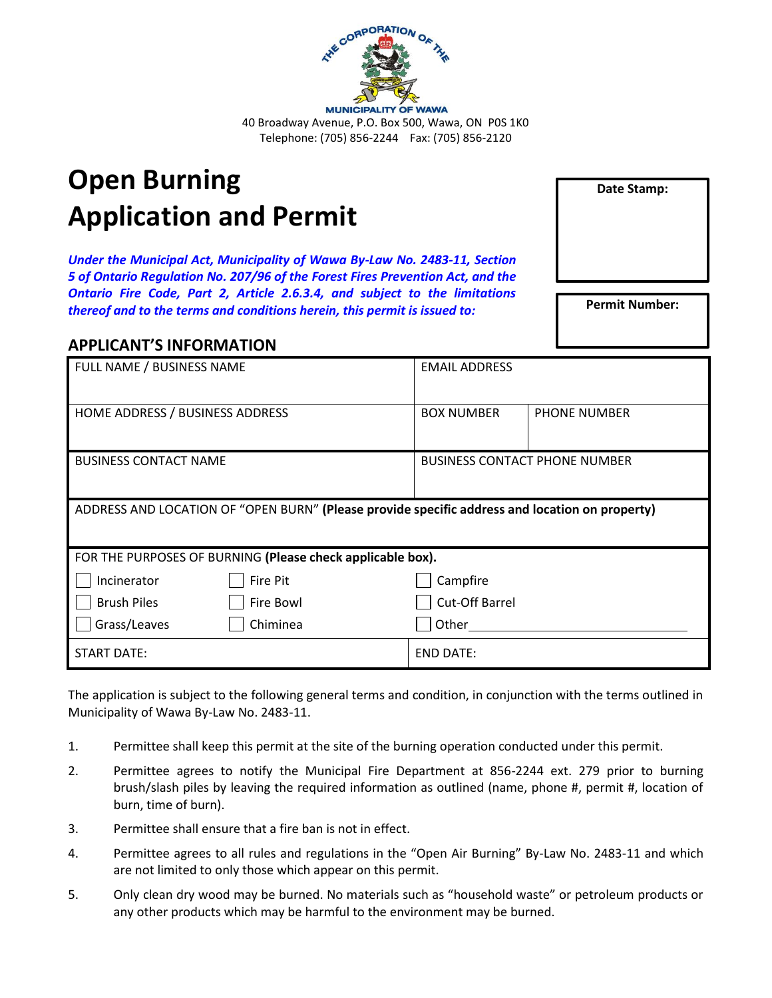

## **Open Burning Application and Permit**

*Under the Municipal Act, Municipality of Wawa By-Law No. 2483-11, Section 5 of Ontario Regulation No. 207/96 of the Forest Fires Prevention Act, and the Ontario Fire Code, Part 2, Article 2.6.3.4, and subject to the limitations thereof and to the terms and conditions herein, this permit is issued to:*

## **APPLICANT'S INFORMATION**

| FULL NAME / BUSINESS NAME                                                                      | <b>EMAIL ADDRESS</b>                 |              |  |  |
|------------------------------------------------------------------------------------------------|--------------------------------------|--------------|--|--|
| HOME ADDRESS / BUSINESS ADDRESS                                                                | <b>BOX NUMBER</b>                    | PHONE NUMBER |  |  |
| <b>BUSINESS CONTACT NAME</b>                                                                   | <b>BUSINESS CONTACT PHONE NUMBER</b> |              |  |  |
| ADDRESS AND LOCATION OF "OPEN BURN" (Please provide specific address and location on property) |                                      |              |  |  |
| FOR THE PURPOSES OF BURNING (Please check applicable box).                                     |                                      |              |  |  |
| Incinerator<br>Fire Pit                                                                        | Campfire                             |              |  |  |
| <b>Brush Piles</b><br>Fire Bowl                                                                | Cut-Off Barrel                       |              |  |  |
| Grass/Leaves<br>Chiminea                                                                       | Other                                |              |  |  |
| <b>START DATE:</b>                                                                             | <b>END DATE:</b>                     |              |  |  |

The application is subject to the following general terms and condition, in conjunction with the terms outlined in Municipality of Wawa By-Law No. 2483-11.

- 1. Permittee shall keep this permit at the site of the burning operation conducted under this permit.
- 2. Permittee agrees to notify the Municipal Fire Department at 856-2244 ext. 279 prior to burning brush/slash piles by leaving the required information as outlined (name, phone #, permit #, location of burn, time of burn).
- 3. Permittee shall ensure that a fire ban is not in effect.
- 4. Permittee agrees to all rules and regulations in the "Open Air Burning" By-Law No. 2483-11 and which are not limited to only those which appear on this permit.
- 5. Only clean dry wood may be burned. No materials such as "household waste" or petroleum products or any other products which may be harmful to the environment may be burned.

**Date Stamp:**

**Permit Number:**